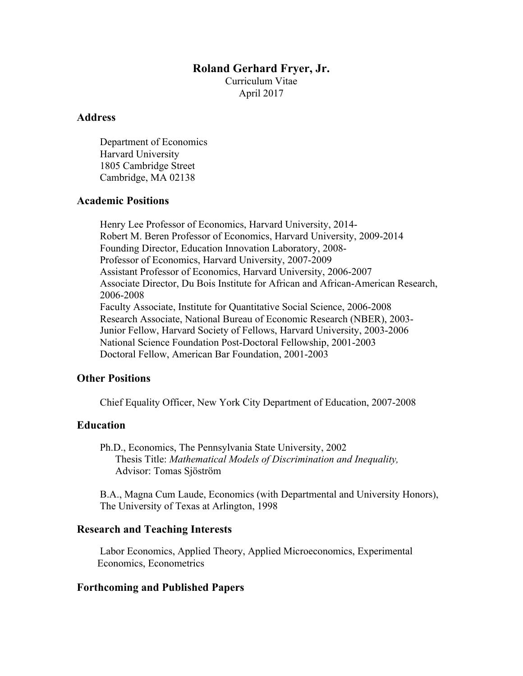### **Roland Gerhard Fryer, Jr.**

Curriculum Vitae April 2017

# **Address**

Department of Economics Harvard University 1805 Cambridge Street Cambridge, MA 02138

## **Academic Positions**

Henry Lee Professor of Economics, Harvard University, 2014- Robert M. Beren Professor of Economics, Harvard University, 2009-2014 Founding Director, Education Innovation Laboratory, 2008- Professor of Economics, Harvard University, 2007-2009 Assistant Professor of Economics, Harvard University, 2006-2007 Associate Director, Du Bois Institute for African and African-American Research, 2006-2008 Faculty Associate, Institute for Quantitative Social Science, 2006-2008 Research Associate, National Bureau of Economic Research (NBER), 2003- Junior Fellow, Harvard Society of Fellows, Harvard University, 2003-2006 National Science Foundation Post-Doctoral Fellowship, 2001-2003 Doctoral Fellow, American Bar Foundation, 2001-2003

## **Other Positions**

Chief Equality Officer, New York City Department of Education, 2007-2008

## **Education**

Ph.D., Economics, The Pennsylvania State University, 2002 Thesis Title: *Mathematical Models of Discrimination and Inequality,*  Advisor: Tomas Sjöström

B.A., Magna Cum Laude, Economics (with Departmental and University Honors), The University of Texas at Arlington, 1998

## **Research and Teaching Interests**

Labor Economics, Applied Theory, Applied Microeconomics, Experimental Economics, Econometrics

## **Forthcoming and Published Papers**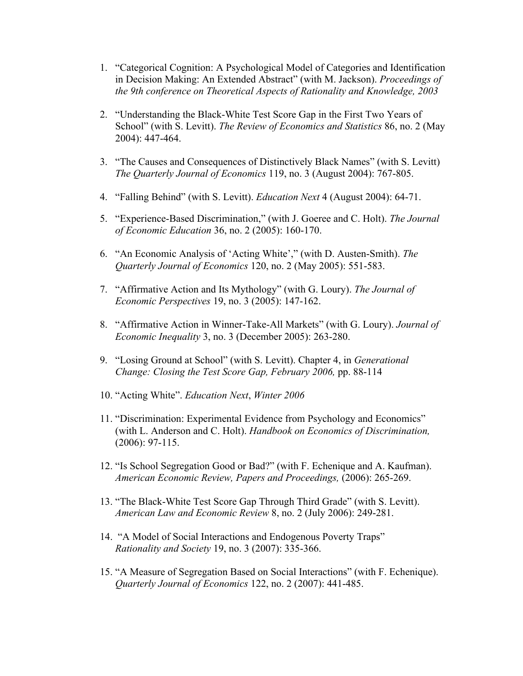- 1. "Categorical Cognition: A Psychological Model of Categories and Identification in Decision Making: An Extended Abstract" (with M. Jackson). *Proceedings of the 9th conference on Theoretical Aspects of Rationality and Knowledge, 2003*
- 2. "Understanding the Black-White Test Score Gap in the First Two Years of School" (with S. Levitt). *The Review of Economics and Statistics* 86, no. 2 (May 2004): 447-464.
- 3. "The Causes and Consequences of Distinctively Black Names" (with S. Levitt) *The Quarterly Journal of Economics* 119, no. 3 (August 2004): 767-805.
- 4. "Falling Behind" (with S. Levitt). *Education Next* 4 (August 2004): 64-71.
- 5. "Experience-Based Discrimination," (with J. Goeree and C. Holt). *The Journal of Economic Education* 36, no. 2 (2005): 160-170.
- 6. "An Economic Analysis of 'Acting White'," (with D. Austen-Smith). *The Quarterly Journal of Economics* 120, no. 2 (May 2005): 551-583.
- 7. "Affirmative Action and Its Mythology" (with G. Loury). *The Journal of Economic Perspectives* 19, no. 3 (2005): 147-162.
- 8. "Affirmative Action in Winner-Take-All Markets" (with G. Loury). *Journal of Economic Inequality* 3, no. 3 (December 2005): 263-280.
- 9. "Losing Ground at School" (with S. Levitt). Chapter 4, in *Generational Change: Closing the Test Score Gap, February 2006,* pp. 88-114
- 10. "Acting White". *Education Next*, *Winter 2006*
- 11. "Discrimination: Experimental Evidence from Psychology and Economics" (with L. Anderson and C. Holt). *Handbook on Economics of Discrimination,*  (2006): 97-115.
- 12. "Is School Segregation Good or Bad?" (with F. Echenique and A. Kaufman). *American Economic Review, Papers and Proceedings,* (2006): 265-269.
- 13. "The Black-White Test Score Gap Through Third Grade" (with S. Levitt). *American Law and Economic Review* 8, no. 2 (July 2006): 249-281.
- 14. "A Model of Social Interactions and Endogenous Poverty Traps" *Rationality and Society* 19, no. 3 (2007): 335-366.
- 15. "A Measure of Segregation Based on Social Interactions" (with F. Echenique). *Quarterly Journal of Economics* 122, no. 2 (2007): 441-485.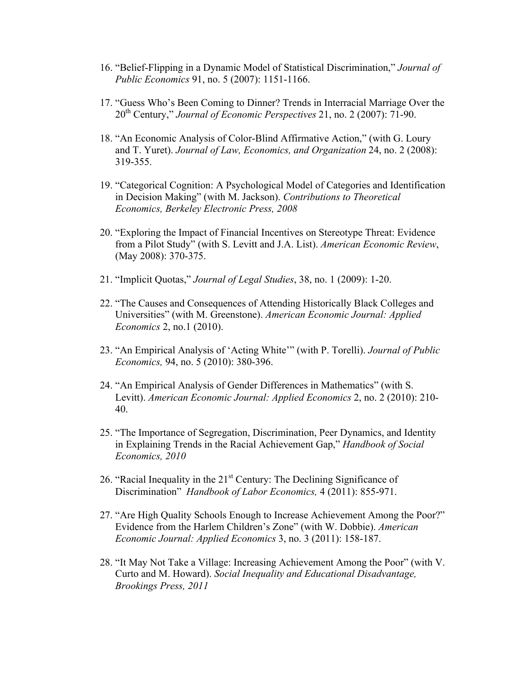- 16. "Belief-Flipping in a Dynamic Model of Statistical Discrimination," *Journal of Public Economics* 91, no. 5 (2007): 1151-1166.
- 17. "Guess Who's Been Coming to Dinner? Trends in Interracial Marriage Over the 20th Century," *Journal of Economic Perspectives* 21, no. 2 (2007): 71-90.
- 18. "An Economic Analysis of Color-Blind Affirmative Action," (with G. Loury and T. Yuret). *Journal of Law, Economics, and Organization* 24, no. 2 (2008): 319-355.
- 19. "Categorical Cognition: A Psychological Model of Categories and Identification in Decision Making" (with M. Jackson). *Contributions to Theoretical Economics, Berkeley Electronic Press, 2008*
- 20. "Exploring the Impact of Financial Incentives on Stereotype Threat: Evidence from a Pilot Study" (with S. Levitt and J.A. List). *American Economic Review*, (May 2008): 370-375.
- 21. "Implicit Quotas," *Journal of Legal Studies*, 38, no. 1 (2009): 1-20.
- 22. "The Causes and Consequences of Attending Historically Black Colleges and Universities" (with M. Greenstone). *American Economic Journal: Applied Economics* 2, no.1 (2010).
- 23. "An Empirical Analysis of 'Acting White'" (with P. Torelli). *Journal of Public Economics,* 94, no. 5 (2010): 380-396.
- 24. "An Empirical Analysis of Gender Differences in Mathematics" (with S. Levitt). *American Economic Journal: Applied Economics* 2, no. 2 (2010): 210- 40.
- 25. "The Importance of Segregation, Discrimination, Peer Dynamics, and Identity in Explaining Trends in the Racial Achievement Gap," *Handbook of Social Economics, 2010*
- 26. "Racial Inequality in the  $21<sup>st</sup>$  Century: The Declining Significance of Discrimination" *Handbook of Labor Economics,* 4 (2011): 855-971.
- 27. "Are High Quality Schools Enough to Increase Achievement Among the Poor?" Evidence from the Harlem Children's Zone" (with W. Dobbie). *American Economic Journal: Applied Economics* 3, no. 3 (2011): 158-187.
- 28. "It May Not Take a Village: Increasing Achievement Among the Poor" (with V. Curto and M. Howard). *Social Inequality and Educational Disadvantage, Brookings Press, 2011*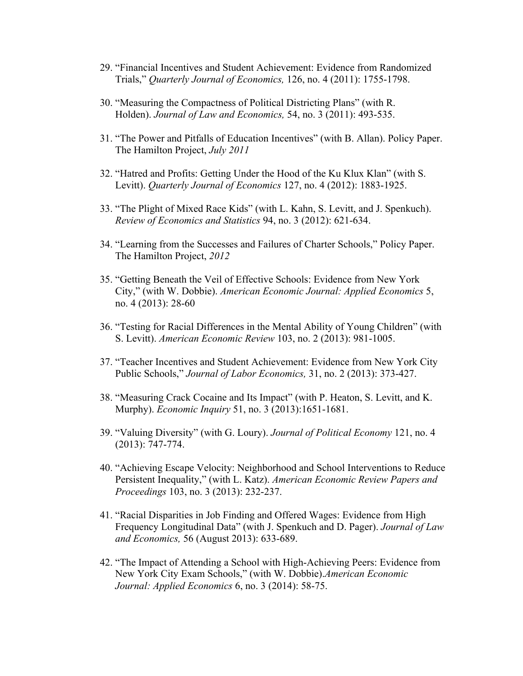- 29. "Financial Incentives and Student Achievement: Evidence from Randomized Trials," *Quarterly Journal of Economics,* 126, no. 4 (2011): 1755-1798.
- 30. "Measuring the Compactness of Political Districting Plans" (with R. Holden). *Journal of Law and Economics,* 54, no. 3 (2011): 493-535.
- 31. "The Power and Pitfalls of Education Incentives" (with B. Allan). Policy Paper. The Hamilton Project, *July 2011*
- 32. "Hatred and Profits: Getting Under the Hood of the Ku Klux Klan" (with S. Levitt). *Quarterly Journal of Economics* 127, no. 4 (2012): 1883-1925.
- 33. "The Plight of Mixed Race Kids" (with L. Kahn, S. Levitt, and J. Spenkuch). *Review of Economics and Statistics* 94, no. 3 (2012): 621-634.
- 34. "Learning from the Successes and Failures of Charter Schools," Policy Paper. The Hamilton Project, *2012*
- 35. "Getting Beneath the Veil of Effective Schools: Evidence from New York City," (with W. Dobbie). *American Economic Journal: Applied Economics* 5, no. 4 (2013): 28-60
- 36. "Testing for Racial Differences in the Mental Ability of Young Children" (with S. Levitt). *American Economic Review* 103, no. 2 (2013): 981-1005.
- 37. "Teacher Incentives and Student Achievement: Evidence from New York City Public Schools," *Journal of Labor Economics,* 31, no. 2 (2013): 373-427.
- 38. "Measuring Crack Cocaine and Its Impact" (with P. Heaton, S. Levitt, and K. Murphy). *Economic Inquiry* 51, no. 3 (2013):1651-1681.
- 39. "Valuing Diversity" (with G. Loury). *Journal of Political Economy* 121, no. 4 (2013): 747-774.
- 40. "Achieving Escape Velocity: Neighborhood and School Interventions to Reduce Persistent Inequality," (with L. Katz). *American Economic Review Papers and Proceedings* 103, no. 3 (2013): 232-237.
- 41. "Racial Disparities in Job Finding and Offered Wages: Evidence from High Frequency Longitudinal Data" (with J. Spenkuch and D. Pager). *Journal of Law and Economics,* 56 (August 2013): 633-689.
- 42. "The Impact of Attending a School with High-Achieving Peers: Evidence from New York City Exam Schools," (with W. Dobbie).*American Economic Journal: Applied Economics* 6, no. 3 (2014): 58-75.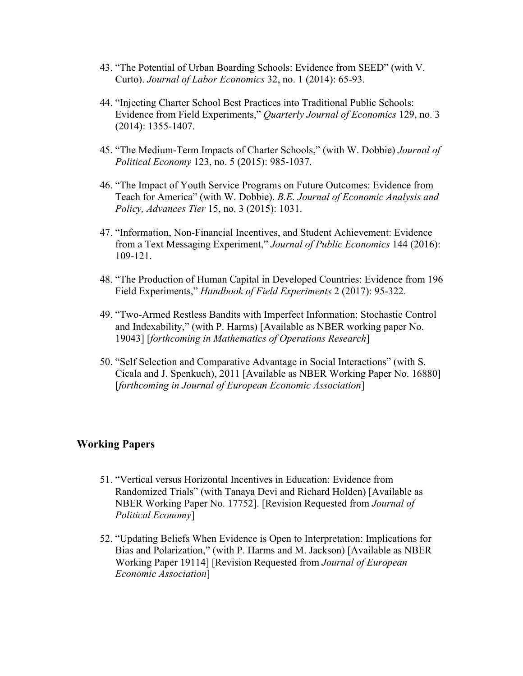- 43. "The Potential of Urban Boarding Schools: Evidence from SEED" (with V. Curto). *Journal of Labor Economics* 32, no. 1 (2014): 65-93.
- 44. "Injecting Charter School Best Practices into Traditional Public Schools: Evidence from Field Experiments," *Quarterly Journal of Economics* 129, no. 3 (2014): 1355-1407.
- 45. "The Medium-Term Impacts of Charter Schools," (with W. Dobbie) *Journal of Political Economy* 123, no. 5 (2015): 985-1037.
- 46. "The Impact of Youth Service Programs on Future Outcomes: Evidence from Teach for America" (with W. Dobbie). *B.E. Journal of Economic Analysis and Policy, Advances Tier* 15, no. 3 (2015): 1031.
- 47. "Information, Non-Financial Incentives, and Student Achievement: Evidence from a Text Messaging Experiment," *Journal of Public Economics* 144 (2016): 109-121.
- 48. "The Production of Human Capital in Developed Countries: Evidence from 196 Field Experiments," *Handbook of Field Experiments* 2 (2017): 95-322.
- 49. "Two-Armed Restless Bandits with Imperfect Information: Stochastic Control and Indexability," (with P. Harms) [Available as NBER working paper No. 19043] [*forthcoming in Mathematics of Operations Research*]
- 50. "Self Selection and Comparative Advantage in Social Interactions" (with S. Cicala and J. Spenkuch), 2011 [Available as NBER Working Paper No. 16880] [*forthcoming in Journal of European Economic Association*]

#### **Working Papers**

- 51. "Vertical versus Horizontal Incentives in Education: Evidence from Randomized Trials" (with Tanaya Devi and Richard Holden) [Available as NBER Working Paper No. 17752]. [Revision Requested from *Journal of Political Economy*]
- 52. "Updating Beliefs When Evidence is Open to Interpretation: Implications for Bias and Polarization," (with P. Harms and M. Jackson) [Available as NBER Working Paper 19114] [Revision Requested from *Journal of European Economic Association*]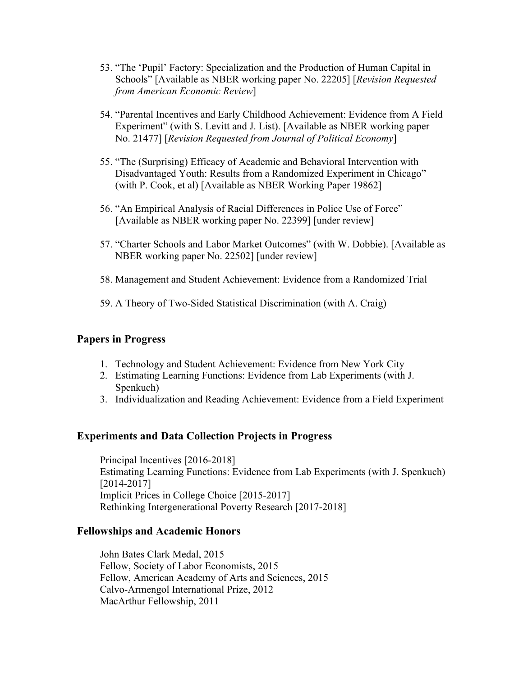- 53. "The 'Pupil' Factory: Specialization and the Production of Human Capital in Schools" [Available as NBER working paper No. 22205] [*Revision Requested from American Economic Review*]
- 54. "Parental Incentives and Early Childhood Achievement: Evidence from A Field Experiment" (with S. Levitt and J. List). [Available as NBER working paper No. 21477] [*Revision Requested from Journal of Political Economy*]
- 55. "The (Surprising) Efficacy of Academic and Behavioral Intervention with Disadvantaged Youth: Results from a Randomized Experiment in Chicago" (with P. Cook, et al) [Available as NBER Working Paper 19862]
- 56. "An Empirical Analysis of Racial Differences in Police Use of Force" [Available as NBER working paper No. 22399] [under review]
- 57. "Charter Schools and Labor Market Outcomes" (with W. Dobbie). [Available as NBER working paper No. 22502] [under review]
- 58. Management and Student Achievement: Evidence from a Randomized Trial
- 59. A Theory of Two-Sided Statistical Discrimination (with A. Craig)

#### **Papers in Progress**

- 1. Technology and Student Achievement: Evidence from New York City
- 2. Estimating Learning Functions: Evidence from Lab Experiments (with J. Spenkuch)
- 3. Individualization and Reading Achievement: Evidence from a Field Experiment

#### **Experiments and Data Collection Projects in Progress**

Principal Incentives [2016-2018] Estimating Learning Functions: Evidence from Lab Experiments (with J. Spenkuch) [2014-2017] Implicit Prices in College Choice [2015-2017] Rethinking Intergenerational Poverty Research [2017-2018]

#### **Fellowships and Academic Honors**

John Bates Clark Medal, 2015 Fellow, Society of Labor Economists, 2015 Fellow, American Academy of Arts and Sciences, 2015 Calvo-Armengol International Prize, 2012 MacArthur Fellowship, 2011